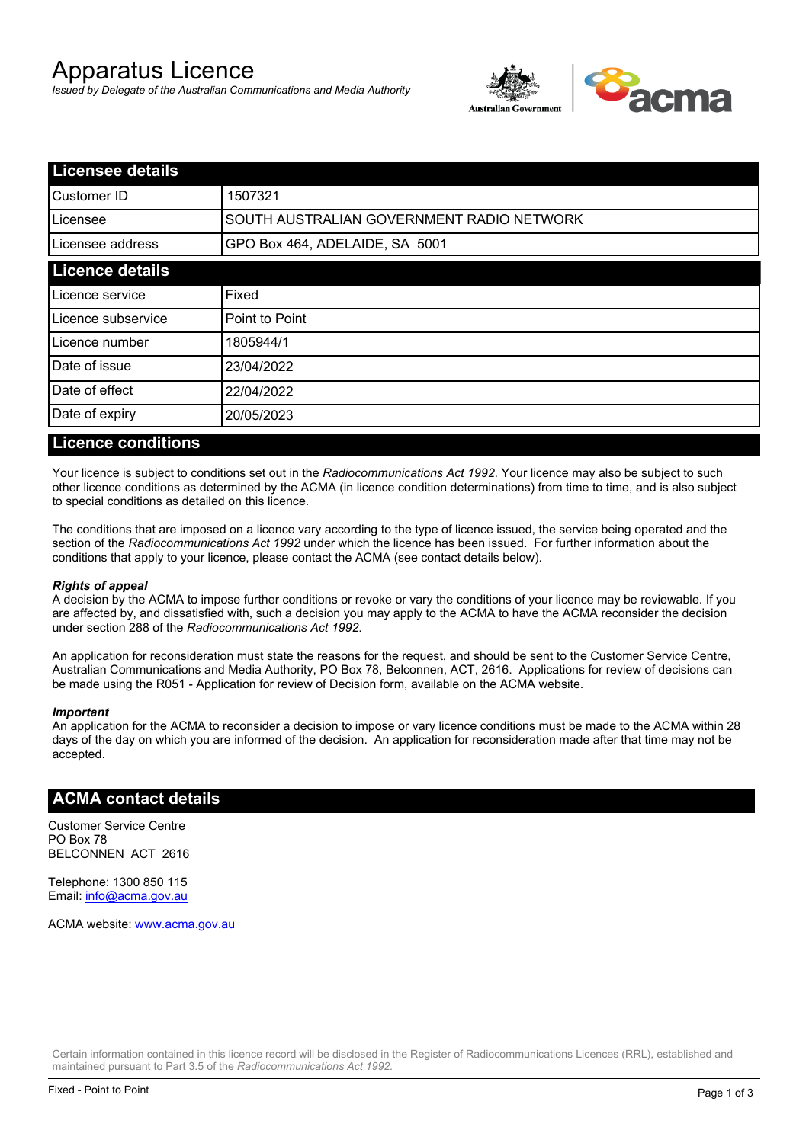# Apparatus Licence

*Issued by Delegate of the Australian Communications and Media Authority*



| <b>Licensee details</b> |                                           |  |
|-------------------------|-------------------------------------------|--|
| Customer ID             | 1507321                                   |  |
| ILicensee               | SOUTH AUSTRALIAN GOVERNMENT RADIO NETWORK |  |
| Licensee address        | GPO Box 464, ADELAIDE, SA 5001            |  |
| <b>Licence details</b>  |                                           |  |
| Licence service         | Fixed                                     |  |
| Licence subservice      | Point to Point                            |  |
| Licence number          | 1805944/1                                 |  |
| Date of issue           | 23/04/2022                                |  |
| Date of effect          | 22/04/2022                                |  |
| Date of expiry          | 20/05/2023                                |  |
|                         |                                           |  |

#### **Licence conditions**

Your licence is subject to conditions set out in the *Radiocommunications Act 1992*. Your licence may also be subject to such other licence conditions as determined by the ACMA (in licence condition determinations) from time to time, and is also subject to special conditions as detailed on this licence.

The conditions that are imposed on a licence vary according to the type of licence issued, the service being operated and the section of the *Radiocommunications Act 1992* under which the licence has been issued. For further information about the conditions that apply to your licence, please contact the ACMA (see contact details below).

#### *Rights of appeal*

A decision by the ACMA to impose further conditions or revoke or vary the conditions of your licence may be reviewable. If you are affected by, and dissatisfied with, such a decision you may apply to the ACMA to have the ACMA reconsider the decision under section 288 of the *Radiocommunications Act 1992*.

An application for reconsideration must state the reasons for the request, and should be sent to the Customer Service Centre, Australian Communications and Media Authority, PO Box 78, Belconnen, ACT, 2616. Applications for review of decisions can be made using the R051 - Application for review of Decision form, available on the ACMA website.

#### *Important*

An application for the ACMA to reconsider a decision to impose or vary licence conditions must be made to the ACMA within 28 days of the day on which you are informed of the decision. An application for reconsideration made after that time may not be accepted.

#### **ACMA contact details**

Customer Service Centre PO Box 78 BELCONNEN ACT 2616

Telephone: 1300 850 115 Email: info@acma.gov.au

ACMA website: www.acma.gov.au

Certain information contained in this licence record will be disclosed in the Register of Radiocommunications Licences (RRL), established and maintained pursuant to Part 3.5 of the *Radiocommunications Act 1992.*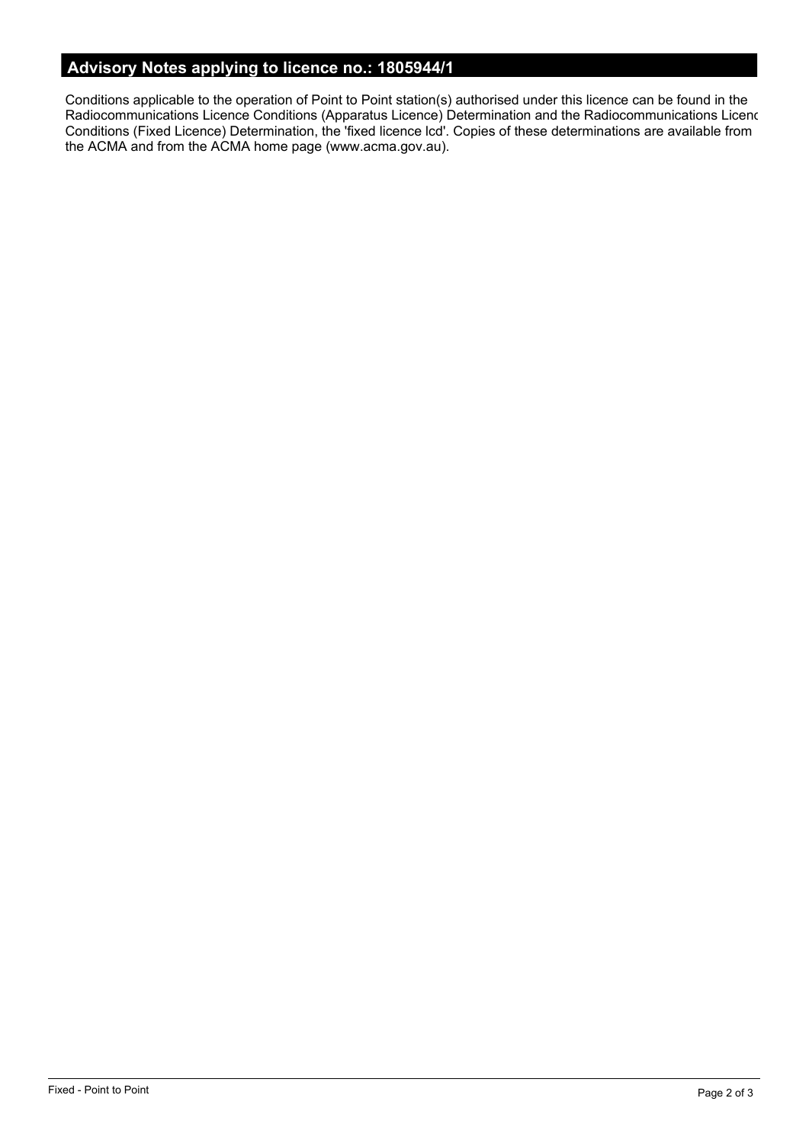# **Advisory Notes applying to licence no.: 1805944/1**

Conditions applicable to the operation of Point to Point station(s) authorised under this licence can be found in the Radiocommunications Licence Conditions (Apparatus Licence) Determination and the Radiocommunications Licence Conditions (Fixed Licence) Determination, the 'fixed licence lcd'. Copies of these determinations are available from the ACMA and from the ACMA home page (www.acma.gov.au).